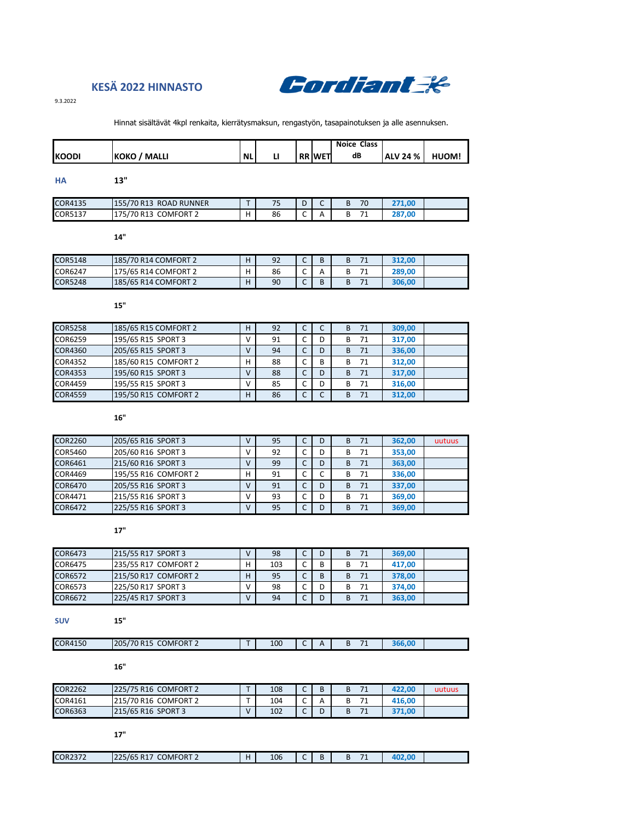

# **KESÄ 2022 HINNASTO**

9.3.2022

#### Hinnat sisältävät 4kpl renkaita, kierrätysmaksun, rengastyön, tasapainotuksen ja alle asennuksen.

|               |                             |           |  |               | <b>Noice Class</b> |                 |       |
|---------------|-----------------------------|-----------|--|---------------|--------------------|-----------------|-------|
| <b>IKOODI</b> | <b>KOKO</b><br><b>MALLI</b> | <b>NL</b> |  | <b>RR WET</b> | dB                 | <b>ALV 24 %</b> | HUOM! |

| <b>HA</b>      | 13"                    |   |    |        |   |    |        |  |
|----------------|------------------------|---|----|--------|---|----|--------|--|
| <b>COR4135</b> | 155/70 R13 ROAD RUNNER |   |    | n<br>υ | ∽ | 70 | 271.00 |  |
| COR5137        | 175/70 R13 COMFORT 2   | н | 86 |        | А |    | 287,00 |  |

**14"**

| COR5148 | 185/70 R14 COMFORT 2 | H  | 92 | $\overline{\phantom{0}}$<br>$\sim$    | B | 74 | 312.00 |  |
|---------|----------------------|----|----|---------------------------------------|---|----|--------|--|
| COR6247 | 175/65 R14 COMFORT 2 | ı. | 86 | $\overline{\phantom{0}}$<br>◡         | А |    | 289.00 |  |
| COR5248 | 185/65 R14 COMFORT 2 |    | 90 | $\overline{\phantom{0}}$<br>$\ddotsc$ | B |    | 306,00 |  |

**15"**

| <b>COR5258</b> | 185/65 R15 COMFORT 2 | н            | 92 |   | C | B  | 71 | 309,00 |  |
|----------------|----------------------|--------------|----|---|---|----|----|--------|--|
| <b>COR6259</b> | 195/65 R15 SPORT 3   | v            | 91 |   | D | в  | 71 | 317,00 |  |
| <b>COR4360</b> | 205/65 R15 SPORT 3   | v            | 94 | C | D | B  | 71 | 336,00 |  |
| COR4352        | 185/60 R15 COMFORT 2 | н            | 88 |   | B | в  | 71 | 312,00 |  |
| <b>COR4353</b> | 195/60 R15 SPORT 3   | $\mathsf{V}$ | 88 |   | D | B  | 71 | 317,00 |  |
| <b>COR4459</b> | 195/55 R15 SPORT 3   | V            | 85 |   | D | в  | 71 | 316,00 |  |
| <b>COR4559</b> | 195/50 R15 COMFORT 2 | H            | 86 |   | C | B. | 71 | 312,00 |  |
|                |                      |              |    |   |   |    |    |        |  |

**16"**

| <b>COR2260</b> | 205/65 R16 SPORT 3   | v | 95 |   | D | B | 71 | 362,00 | uutuus |
|----------------|----------------------|---|----|---|---|---|----|--------|--------|
| <b>COR5460</b> | 205/60 R16 SPORT 3   |   | 92 |   | D | в | 71 | 353,00 |        |
| COR6461        | 215/60 R16 SPORT 3   |   | 99 | ◡ | D | B | 71 | 363,00 |        |
| COR4469        | 195/55 R16 COMFORT 2 | н | 91 |   |   | в | 71 | 336,00 |        |
| <b>COR6470</b> | 205/55 R16 SPORT 3   |   | 91 |   | D | B | 71 | 337,00 |        |
| COR4471        | 215/55 R16 SPORT 3   | v | 93 |   | D | в | 71 | 369,00 |        |
| <b>COR6472</b> | 225/55 R16 SPORT 3   | V | 95 |   | D | в | 71 | 369,00 |        |

**17"**

| COR6473 | 215/55 R17 SPORT 3   |   | 98  | . . |   | 71<br>B | 369.00 |  |
|---------|----------------------|---|-----|-----|---|---------|--------|--|
| COR6475 | 235/55 R17 COMFORT 2 |   | 103 | ∼   | В | 71      | 417.00 |  |
| COR6572 | 215/50 R17 COMFORT 2 | н | 95  | . . | В | 71<br>B | 378,00 |  |
| COR6573 | 225/50 R17 SPORT 3   |   | 98  |     |   | 71<br>в | 374.00 |  |
| COR6672 | 225/45 R17 SPORT 3   |   | 94  | . . |   | 71      | 363,00 |  |

## **SUV 15"**

| <b>COR4150</b> | <b>COMFORT 2</b><br>205/<br><b>Q15</b><br>70<br><b>NJJ</b> | $-$ | 100 | . . | - -<br>-- | $-0.00$ |  |
|----------------|------------------------------------------------------------|-----|-----|-----|-----------|---------|--|
|                |                                                            |     |     |     |           |         |  |

**16"**

| <b>COR2262</b> | 225/75 R16 COMFORT 2 | - | 108 | $\overline{\phantom{0}}$<br>∼ | D | 71 | 422.00 | uutuus |
|----------------|----------------------|---|-----|-------------------------------|---|----|--------|--------|
| COR4161        | 215/70 R16 COMFORT 2 | - | 104 | $\overline{\phantom{0}}$<br>∼ |   |    | 416.00 |        |
| <b>COR6363</b> | 215/65 R16 SPORT 3   |   | 102 | $\overline{\phantom{0}}$      | ш |    | 371.00 |        |

**17"**

| <b>COR2372</b> | 225/65 R17<br><b>COMFORT 2</b><br>$\sqrt{2}$ | 106 | Þ | $-1$<br>$^{\prime}$ | 0.02.08 |  |
|----------------|----------------------------------------------|-----|---|---------------------|---------|--|